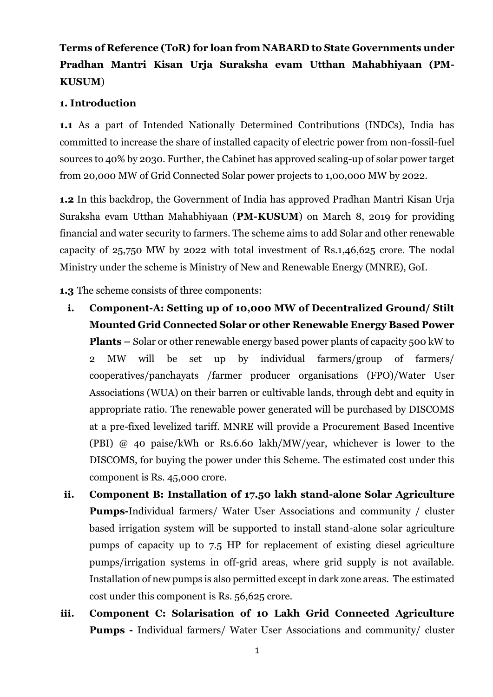# **Terms of Reference (ToR) for loan from NABARD to State Governments under Pradhan Mantri Kisan Urja Suraksha evam Utthan Mahabhiyaan (PM-KUSUM**)

# **1. Introduction**

**1.1** As a part of Intended Nationally Determined Contributions (INDCs), India has committed to increase the share of installed capacity of electric power from non-fossil-fuel sources to 40% by 2030. Further, the Cabinet has approved scaling-up of solar power target from 20,000 MW of Grid Connected Solar power projects to 1,00,000 MW by 2022.

**1.2** In this backdrop, the Government of India has approved Pradhan Mantri Kisan Urja Suraksha evam Utthan Mahabhiyaan (**PM-KUSUM**) on March 8, 2019 for providing financial and water security to farmers. The scheme aims to add Solar and other renewable capacity of 25,750 MW by 2022 with total investment of Rs.1,46,625 crore. The nodal Ministry under the scheme is Ministry of New and Renewable Energy (MNRE), GoI.

**1.3** The scheme consists of three components:

- **i. Component-A: Setting up of 10,000 MW of Decentralized Ground/ Stilt Mounted Grid Connected Solar or other Renewable Energy Based Power Plants –** Solar or other renewable energy based power plants of capacity 500 kW to 2 MW will be set up by individual farmers/group of farmers/ cooperatives/panchayats /farmer producer organisations (FPO)/Water User Associations (WUA) on their barren or cultivable lands, through debt and equity in appropriate ratio. The renewable power generated will be purchased by DISCOMS at a pre-fixed levelized tariff. MNRE will provide a Procurement Based Incentive (PBI) @ 40 paise/kWh or Rs.6.60 lakh/MW/year, whichever is lower to the DISCOMS, for buying the power under this Scheme. The estimated cost under this component is Rs. 45,000 crore.
- **ii. Component B: Installation of 17.50 lakh stand-alone Solar Agriculture Pumps-**Individual farmers/ Water User Associations and community / cluster based irrigation system will be supported to install stand-alone solar agriculture pumps of capacity up to 7.5 HP for replacement of existing diesel agriculture pumps/irrigation systems in off-grid areas, where grid supply is not available. Installation of new pumps is also permitted except in dark zone areas. The estimated cost under this component is Rs. 56,625 crore.
- **iii. Component C: Solarisation of 10 Lakh Grid Connected Agriculture Pumps -** Individual farmers/ Water User Associations and community/ cluster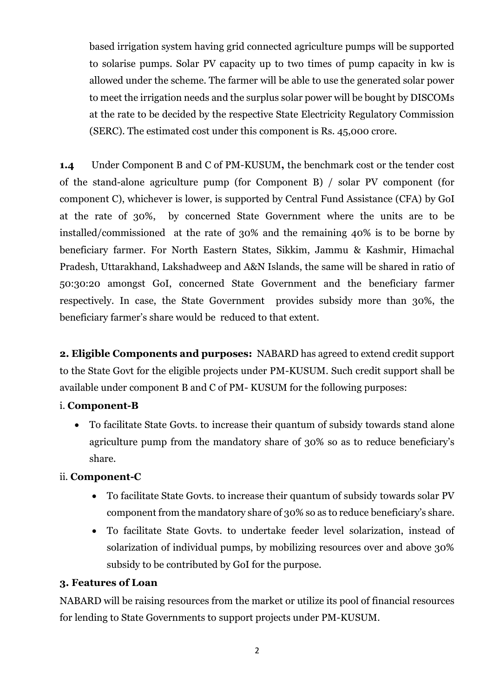based irrigation system having grid connected agriculture pumps will be supported to solarise pumps. Solar PV capacity up to two times of pump capacity in kw is allowed under the scheme. The farmer will be able to use the generated solar power to meet the irrigation needs and the surplus solar power will be bought by DISCOMs at the rate to be decided by the respective State Electricity Regulatory Commission (SERC). The estimated cost under this component is Rs. 45,000 crore.

**1.4** Under Component B and C of PM-KUSUM**,** the benchmark cost or the tender cost of the stand-alone agriculture pump (for Component B) / solar PV component (for component C), whichever is lower, is supported by Central Fund Assistance (CFA) by GoI at the rate of 30%, by concerned State Government where the units are to be installed/commissioned at the rate of 30% and the remaining 40% is to be borne by beneficiary farmer. For North Eastern States, Sikkim, Jammu & Kashmir, Himachal Pradesh, Uttarakhand, Lakshadweep and A&N Islands, the same will be shared in ratio of 50:30:20 amongst GoI, concerned State Government and the beneficiary farmer respectively. In case, the State Government provides subsidy more than 30%, the beneficiary farmer's share would be reduced to that extent.

**2. Eligible Components and purposes:** NABARD has agreed to extend credit support to the State Govt for the eligible projects under PM-KUSUM. Such credit support shall be available under component B and C of PM- KUSUM for the following purposes:

# i. **Component-B**

 To facilitate State Govts. to increase their quantum of subsidy towards stand alone agriculture pump from the mandatory share of 30% so as to reduce beneficiary's share.

# ii. **Component-C**

- To facilitate State Govts. to increase their quantum of subsidy towards solar PV component from the mandatory share of 30% so as to reduce beneficiary's share.
- To facilitate State Govts. to undertake feeder level solarization, instead of solarization of individual pumps, by mobilizing resources over and above 30% subsidy to be contributed by GoI for the purpose.

## **3. Features of Loan**

NABARD will be raising resources from the market or utilize its pool of financial resources for lending to State Governments to support projects under PM-KUSUM.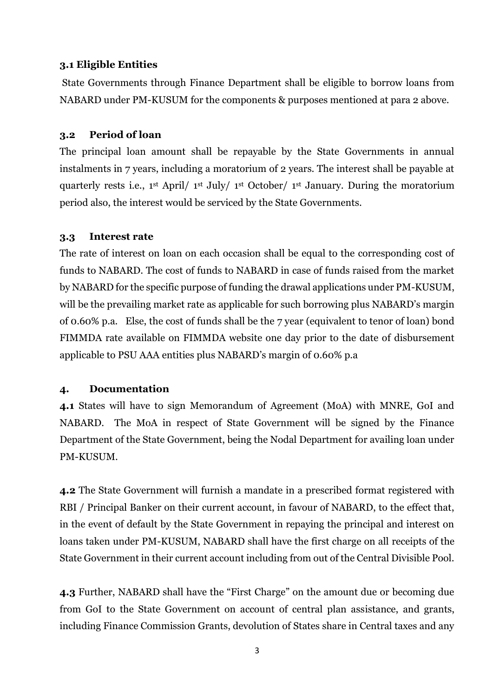# **3.1 Eligible Entities**

State Governments through Finance Department shall be eligible to borrow loans from NABARD under PM-KUSUM for the components & purposes mentioned at para 2 above.

# **3.2 Period of loan**

The principal loan amount shall be repayable by the State Governments in annual instalments in 7 years, including a moratorium of 2 years. The interest shall be payable at quarterly rests i.e., 1st April/ 1st July/ 1st October/ 1st January. During the moratorium period also, the interest would be serviced by the State Governments.

# **3.3 Interest rate**

The rate of interest on loan on each occasion shall be equal to the corresponding cost of funds to NABARD. The cost of funds to NABARD in case of funds raised from the market by NABARD for the specific purpose of funding the drawal applications under PM-KUSUM, will be the prevailing market rate as applicable for such borrowing plus NABARD's margin of 0.60% p.a. Else, the cost of funds shall be the 7 year (equivalent to tenor of loan) bond FIMMDA rate available on FIMMDA website one day prior to the date of disbursement applicable to PSU AAA entities plus NABARD's margin of 0.60% p.a

## **4. Documentation**

**4.1** States will have to sign Memorandum of Agreement (MoA) with MNRE, GoI and NABARD. The MoA in respect of State Government will be signed by the Finance Department of the State Government, being the Nodal Department for availing loan under PM-KUSUM.

**4.2** The State Government will furnish a mandate in a prescribed format registered with RBI / Principal Banker on their current account, in favour of NABARD, to the effect that, in the event of default by the State Government in repaying the principal and interest on loans taken under PM-KUSUM, NABARD shall have the first charge on all receipts of the State Government in their current account including from out of the Central Divisible Pool.

**4.3** Further, NABARD shall have the "First Charge" on the amount due or becoming due from GoI to the State Government on account of central plan assistance, and grants, including Finance Commission Grants, devolution of States share in Central taxes and any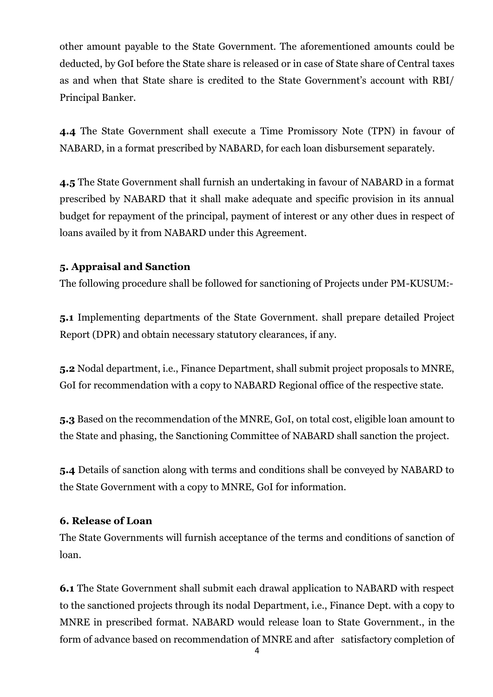other amount payable to the State Government. The aforementioned amounts could be deducted, by GoI before the State share is released or in case of State share of Central taxes as and when that State share is credited to the State Government's account with RBI/ Principal Banker.

**4.4** The State Government shall execute a Time Promissory Note (TPN) in favour of NABARD, in a format prescribed by NABARD, for each loan disbursement separately.

**4.5** The State Government shall furnish an undertaking in favour of NABARD in a format prescribed by NABARD that it shall make adequate and specific provision in its annual budget for repayment of the principal, payment of interest or any other dues in respect of loans availed by it from NABARD under this Agreement.

# **5. Appraisal and Sanction**

The following procedure shall be followed for sanctioning of Projects under PM-KUSUM:-

**5.1** Implementing departments of the State Government. shall prepare detailed Project Report (DPR) and obtain necessary statutory clearances, if any.

**5.2** Nodal department, i.e., Finance Department, shall submit project proposals to MNRE, GoI for recommendation with a copy to NABARD Regional office of the respective state.

**5.3** Based on the recommendation of the MNRE, GoI, on total cost, eligible loan amount to the State and phasing, the Sanctioning Committee of NABARD shall sanction the project.

**5.4** Details of sanction along with terms and conditions shall be conveyed by NABARD to the State Government with a copy to MNRE, GoI for information.

# **6. Release of Loan**

The State Governments will furnish acceptance of the terms and conditions of sanction of loan.

**6.1** The State Government shall submit each drawal application to NABARD with respect to the sanctioned projects through its nodal Department, i.e., Finance Dept. with a copy to MNRE in prescribed format. NABARD would release loan to State Government., in the form of advance based on recommendation of MNRE and after satisfactory completion of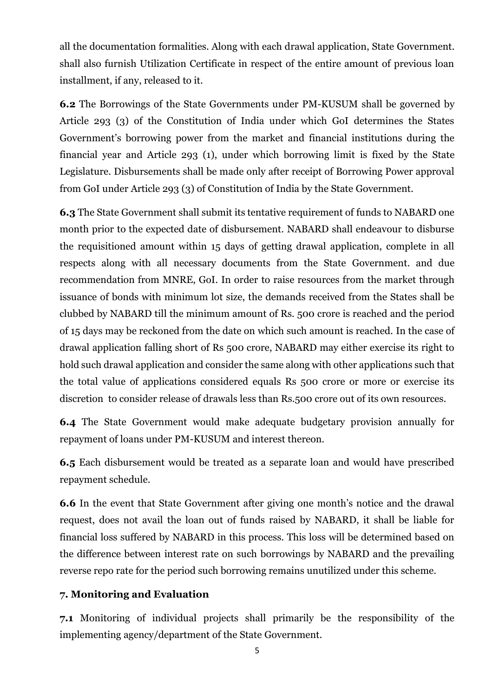all the documentation formalities. Along with each drawal application, State Government. shall also furnish Utilization Certificate in respect of the entire amount of previous loan installment, if any, released to it*.* 

**6.2** The Borrowings of the State Governments under PM-KUSUM shall be governed by Article 293 (3) of the Constitution of India under which GoI determines the States Government's borrowing power from the market and financial institutions during the financial year and Article 293 (1), under which borrowing limit is fixed by the State Legislature. Disbursements shall be made only after receipt of Borrowing Power approval from GoI under Article 293 (3) of Constitution of India by the State Government.

**6.3** The State Government shall submit its tentative requirement of funds to NABARD one month prior to the expected date of disbursement. NABARD shall endeavour to disburse the requisitioned amount within 15 days of getting drawal application, complete in all respects along with all necessary documents from the State Government. and due recommendation from MNRE, GoI. In order to raise resources from the market through issuance of bonds with minimum lot size, the demands received from the States shall be clubbed by NABARD till the minimum amount of Rs. 500 crore is reached and the period of 15 days may be reckoned from the date on which such amount is reached. In the case of drawal application falling short of Rs 500 crore, NABARD may either exercise its right to hold such drawal application and consider the same along with other applications such that the total value of applications considered equals Rs 500 crore or more or exercise its discretion to consider release of drawals less than Rs.500 crore out of its own resources.

**6.4** The State Government would make adequate budgetary provision annually for repayment of loans under PM-KUSUM and interest thereon.

**6.5** Each disbursement would be treated as a separate loan and would have prescribed repayment schedule.

**6.6** In the event that State Government after giving one month's notice and the drawal request, does not avail the loan out of funds raised by NABARD, it shall be liable for financial loss suffered by NABARD in this process. This loss will be determined based on the difference between interest rate on such borrowings by NABARD and the prevailing reverse repo rate for the period such borrowing remains unutilized under this scheme.

# **7. Monitoring and Evaluation**

**7.1** Monitoring of individual projects shall primarily be the responsibility of the implementing agency/department of the State Government.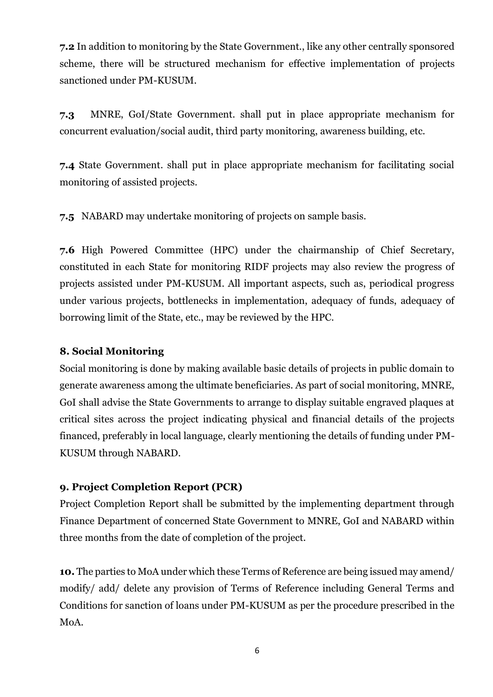**7.2** In addition to monitoring by the State Government., like any other centrally sponsored scheme, there will be structured mechanism for effective implementation of projects sanctioned under PM-KUSUM.

**7.3** MNRE, GoI/State Government. shall put in place appropriate mechanism for concurrent evaluation/social audit, third party monitoring, awareness building, etc.

**7.4** State Government. shall put in place appropriate mechanism for facilitating social monitoring of assisted projects.

**7.5** NABARD may undertake monitoring of projects on sample basis.

**7.6** High Powered Committee (HPC) under the chairmanship of Chief Secretary, constituted in each State for monitoring RIDF projects may also review the progress of projects assisted under PM-KUSUM. All important aspects, such as, periodical progress under various projects, bottlenecks in implementation, adequacy of funds, adequacy of borrowing limit of the State, etc., may be reviewed by the HPC.

# **8. Social Monitoring**

Social monitoring is done by making available basic details of projects in public domain to generate awareness among the ultimate beneficiaries. As part of social monitoring, MNRE, GoI shall advise the State Governments to arrange to display suitable engraved plaques at critical sites across the project indicating physical and financial details of the projects financed, preferably in local language, clearly mentioning the details of funding under PM-KUSUM through NABARD.

# **9. Project Completion Report (PCR)**

Project Completion Report shall be submitted by the implementing department through Finance Department of concerned State Government to MNRE, GoI and NABARD within three months from the date of completion of the project.

**10.** The parties to MoA under which these Terms of Reference are being issued may amend/ modify/ add/ delete any provision of Terms of Reference including General Terms and Conditions for sanction of loans under PM-KUSUM as per the procedure prescribed in the MoA.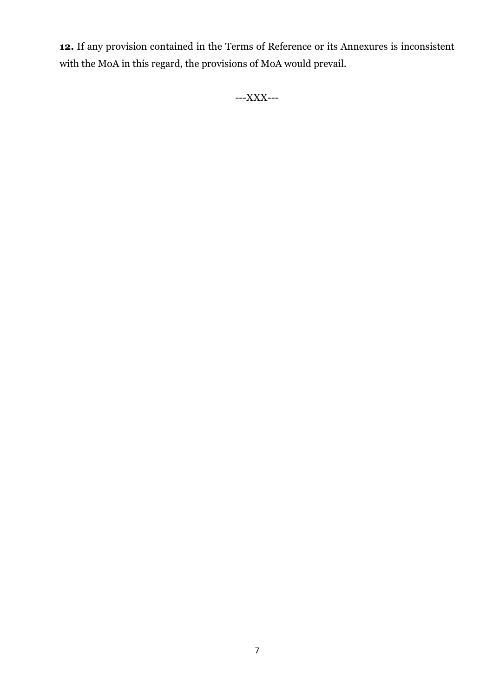**12.** If any provision contained in the Terms of Reference or its Annexures is inconsistent with the MoA in this regard, the provisions of MoA would prevail.

---XXX---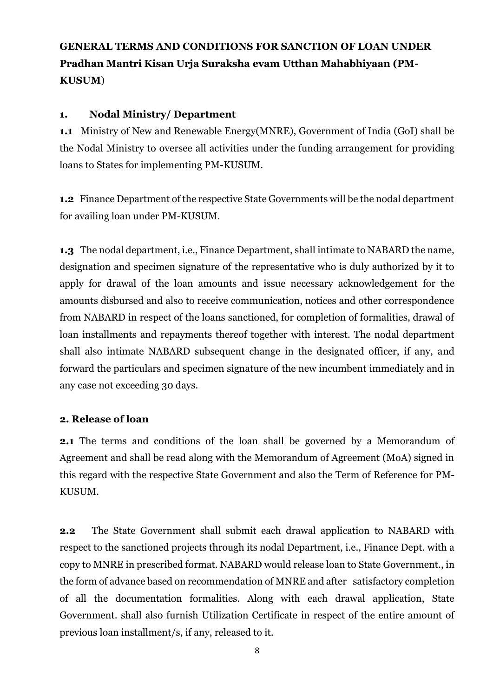# **GENERAL TERMS AND CONDITIONS FOR SANCTION OF LOAN UNDER Pradhan Mantri Kisan Urja Suraksha evam Utthan Mahabhiyaan (PM-KUSUM**)

# **1. Nodal Ministry/ Department**

**1.1** Ministry of New and Renewable Energy(MNRE), Government of India (GoI) shall be the Nodal Ministry to oversee all activities under the funding arrangement for providing loans to States for implementing PM-KUSUM.

**1.2** Finance Department of the respective State Governments will be the nodal department for availing loan under PM-KUSUM.

**1.3** The nodal department, i.e., Finance Department, shall intimate to NABARD the name, designation and specimen signature of the representative who is duly authorized by it to apply for drawal of the loan amounts and issue necessary acknowledgement for the amounts disbursed and also to receive communication, notices and other correspondence from NABARD in respect of the loans sanctioned, for completion of formalities, drawal of loan installments and repayments thereof together with interest. The nodal department shall also intimate NABARD subsequent change in the designated officer, if any, and forward the particulars and specimen signature of the new incumbent immediately and in any case not exceeding 30 days.

# **2. Release of loan**

**2.1** The terms and conditions of the loan shall be governed by a Memorandum of Agreement and shall be read along with the Memorandum of Agreement (MoA) signed in this regard with the respective State Government and also the Term of Reference for PM-KUSUM.

**2.2** The State Government shall submit each drawal application to NABARD with respect to the sanctioned projects through its nodal Department, i.e., Finance Dept. with a copy to MNRE in prescribed format. NABARD would release loan to State Government., in the form of advance based on recommendation of MNRE and after satisfactory completion of all the documentation formalities. Along with each drawal application, State Government. shall also furnish Utilization Certificate in respect of the entire amount of previous loan installment/s, if any, released to it*.*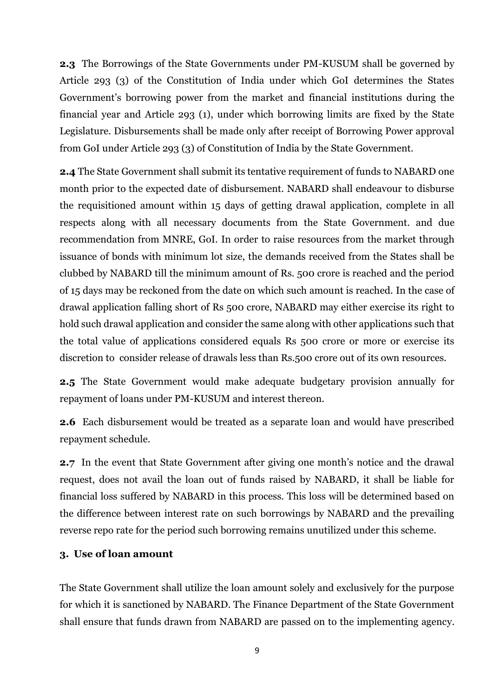**2.3** The Borrowings of the State Governments under PM-KUSUM shall be governed by Article 293 (3) of the Constitution of India under which GoI determines the States Government's borrowing power from the market and financial institutions during the financial year and Article 293 (1), under which borrowing limits are fixed by the State Legislature. Disbursements shall be made only after receipt of Borrowing Power approval from GoI under Article 293 (3) of Constitution of India by the State Government.

**2.4** The State Government shall submit its tentative requirement of funds to NABARD one month prior to the expected date of disbursement. NABARD shall endeavour to disburse the requisitioned amount within 15 days of getting drawal application, complete in all respects along with all necessary documents from the State Government. and due recommendation from MNRE, GoI. In order to raise resources from the market through issuance of bonds with minimum lot size, the demands received from the States shall be clubbed by NABARD till the minimum amount of Rs. 500 crore is reached and the period of 15 days may be reckoned from the date on which such amount is reached. In the case of drawal application falling short of Rs 500 crore, NABARD may either exercise its right to hold such drawal application and consider the same along with other applications such that the total value of applications considered equals Rs 500 crore or more or exercise its discretion to consider release of drawals less than Rs.500 crore out of its own resources.

**2.5** The State Government would make adequate budgetary provision annually for repayment of loans under PM-KUSUM and interest thereon.

**2.6** Each disbursement would be treated as a separate loan and would have prescribed repayment schedule.

**2.7** In the event that State Government after giving one month's notice and the drawal request, does not avail the loan out of funds raised by NABARD, it shall be liable for financial loss suffered by NABARD in this process. This loss will be determined based on the difference between interest rate on such borrowings by NABARD and the prevailing reverse repo rate for the period such borrowing remains unutilized under this scheme.

#### **3. Use of loan amount**

The State Government shall utilize the loan amount solely and exclusively for the purpose for which it is sanctioned by NABARD. The Finance Department of the State Government shall ensure that funds drawn from NABARD are passed on to the implementing agency.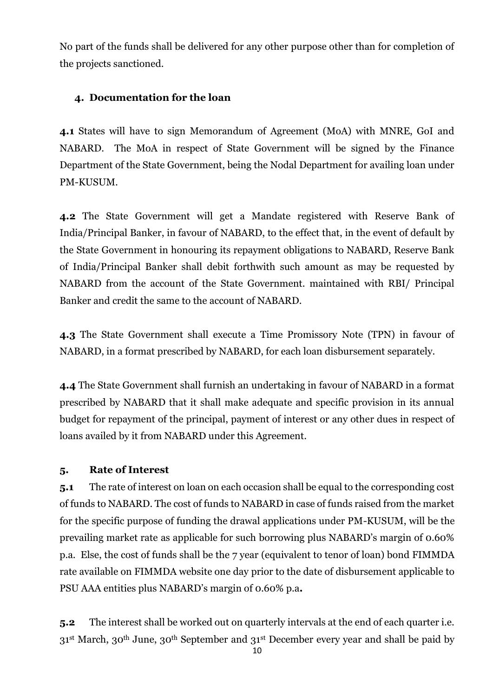No part of the funds shall be delivered for any other purpose other than for completion of the projects sanctioned.

# **4. Documentation for the loan**

**4.1** States will have to sign Memorandum of Agreement (MoA) with MNRE, GoI and NABARD. The MoA in respect of State Government will be signed by the Finance Department of the State Government, being the Nodal Department for availing loan under PM-KUSUM.

**4.2** The State Government will get a Mandate registered with Reserve Bank of India/Principal Banker, in favour of NABARD, to the effect that, in the event of default by the State Government in honouring its repayment obligations to NABARD, Reserve Bank of India/Principal Banker shall debit forthwith such amount as may be requested by NABARD from the account of the State Government. maintained with RBI/ Principal Banker and credit the same to the account of NABARD.

**4.3** The State Government shall execute a Time Promissory Note (TPN) in favour of NABARD, in a format prescribed by NABARD, for each loan disbursement separately.

**4.4** The State Government shall furnish an undertaking in favour of NABARD in a format prescribed by NABARD that it shall make adequate and specific provision in its annual budget for repayment of the principal, payment of interest or any other dues in respect of loans availed by it from NABARD under this Agreement.

# **5. Rate of Interest**

**5.1** The rate of interest on loan on each occasion shall be equal to the corresponding cost of funds to NABARD. The cost of funds to NABARD in case of funds raised from the market for the specific purpose of funding the drawal applications under PM-KUSUM, will be the prevailing market rate as applicable for such borrowing plus NABARD's margin of 0.60% p.a. Else, the cost of funds shall be the 7 year (equivalent to tenor of loan) bond FIMMDA rate available on FIMMDA website one day prior to the date of disbursement applicable to PSU AAA entities plus NABARD's margin of 0.60% p.a**.**

**5.2** The interest shall be worked out on quarterly intervals at the end of each quarter i.e. 31st March, 30th June, 30th September and 31st December every year and shall be paid by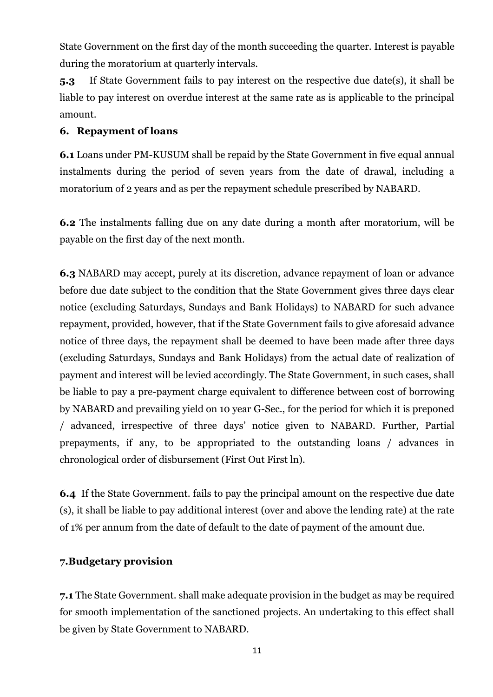State Government on the first day of the month succeeding the quarter. Interest is payable during the moratorium at quarterly intervals.

**5.3** If State Government fails to pay interest on the respective due date(s), it shall be liable to pay interest on overdue interest at the same rate as is applicable to the principal amount.

## **6. Repayment of loans**

**6.1** Loans under PM-KUSUM shall be repaid by the State Government in five equal annual instalments during the period of seven years from the date of drawal, including a moratorium of 2 years and as per the repayment schedule prescribed by NABARD.

**6.2** The instalments falling due on any date during a month after moratorium, will be payable on the first day of the next month.

**6.3** NABARD may accept, purely at its discretion, advance repayment of loan or advance before due date subject to the condition that the State Government gives three days clear notice (excluding Saturdays, Sundays and Bank Holidays) to NABARD for such advance repayment, provided, however, that if the State Government fails to give aforesaid advance notice of three days, the repayment shall be deemed to have been made after three days (excluding Saturdays, Sundays and Bank Holidays) from the actual date of realization of payment and interest will be levied accordingly. The State Government, in such cases, shall be liable to pay a pre-payment charge equivalent to difference between cost of borrowing by NABARD and prevailing yield on 10 year G-Sec., for the period for which it is preponed / advanced, irrespective of three days' notice given to NABARD. Further, Partial prepayments, if any, to be appropriated to the outstanding loans / advances in chronological order of disbursement (First Out First ln).

**6.4** If the State Government. fails to pay the principal amount on the respective due date (s), it shall be liable to pay additional interest (over and above the lending rate) at the rate of 1% per annum from the date of default to the date of payment of the amount due.

## **7.Budgetary provision**

**7.1** The State Government. shall make adequate provision in the budget as may be required for smooth implementation of the sanctioned projects. An undertaking to this effect shall be given by State Government to NABARD.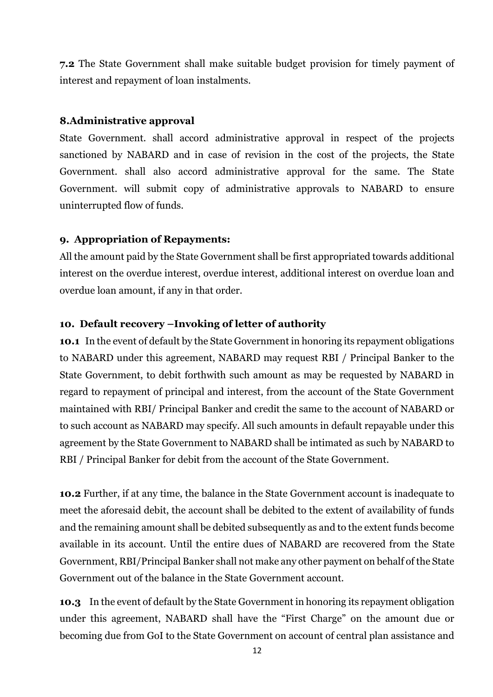**7.2** The State Government shall make suitable budget provision for timely payment of interest and repayment of loan instalments.

# **8.Administrative approval**

State Government. shall accord administrative approval in respect of the projects sanctioned by NABARD and in case of revision in the cost of the projects, the State Government. shall also accord administrative approval for the same. The State Government. will submit copy of administrative approvals to NABARD to ensure uninterrupted flow of funds.

# **9. Appropriation of Repayments:**

All the amount paid by the State Government shall be first appropriated towards additional interest on the overdue interest, overdue interest, additional interest on overdue loan and overdue loan amount, if any in that order.

# **10. Default recovery –Invoking of letter of authority**

**10.1** In the event of default by the State Government in honoring its repayment obligations to NABARD under this agreement, NABARD may request RBI / Principal Banker to the State Government, to debit forthwith such amount as may be requested by NABARD in regard to repayment of principal and interest, from the account of the State Government maintained with RBI/ Principal Banker and credit the same to the account of NABARD or to such account as NABARD may specify. All such amounts in default repayable under this agreement by the State Government to NABARD shall be intimated as such by NABARD to RBI / Principal Banker for debit from the account of the State Government.

**10.2** Further, if at any time, the balance in the State Government account is inadequate to meet the aforesaid debit, the account shall be debited to the extent of availability of funds and the remaining amount shall be debited subsequently as and to the extent funds become available in its account. Until the entire dues of NABARD are recovered from the State Government, RBI/Principal Banker shall not make any other payment on behalf of the State Government out of the balance in the State Government account.

**10.3** In the event of default by the State Government in honoring its repayment obligation under this agreement, NABARD shall have the "First Charge" on the amount due or becoming due from GoI to the State Government on account of central plan assistance and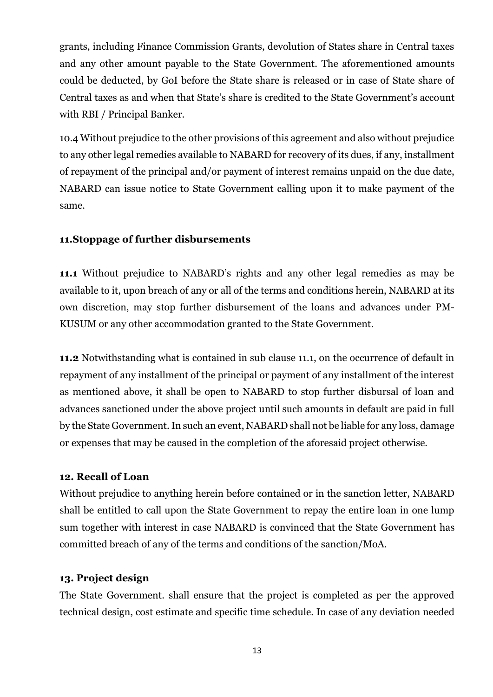grants, including Finance Commission Grants, devolution of States share in Central taxes and any other amount payable to the State Government. The aforementioned amounts could be deducted, by GoI before the State share is released or in case of State share of Central taxes as and when that State's share is credited to the State Government's account with RBI / Principal Banker.

10.4 Without prejudice to the other provisions of this agreement and also without prejudice to any other legal remedies available to NABARD for recovery of its dues, if any, installment of repayment of the principal and/or payment of interest remains unpaid on the due date, NABARD can issue notice to State Government calling upon it to make payment of the same.

# **11.Stoppage of further disbursements**

**11.1** Without prejudice to NABARD's rights and any other legal remedies as may be available to it, upon breach of any or all of the terms and conditions herein, NABARD at its own discretion, may stop further disbursement of the loans and advances under PM-KUSUM or any other accommodation granted to the State Government.

**11.2** Notwithstanding what is contained in sub clause 11.1, on the occurrence of default in repayment of any installment of the principal or payment of any installment of the interest as mentioned above, it shall be open to NABARD to stop further disbursal of loan and advances sanctioned under the above project until such amounts in default are paid in full by the State Government.In such an event, NABARD shall not be liable for any loss, damage or expenses that may be caused in the completion of the aforesaid project otherwise.

## **12. Recall of Loan**

Without prejudice to anything herein before contained or in the sanction letter, NABARD shall be entitled to call upon the State Government to repay the entire loan in one lump sum together with interest in case NABARD is convinced that the State Government has committed breach of any of the terms and conditions of the sanction/MoA.

## **13. Project design**

The State Government. shall ensure that the project is completed as per the approved technical design, cost estimate and specific time schedule. In case of any deviation needed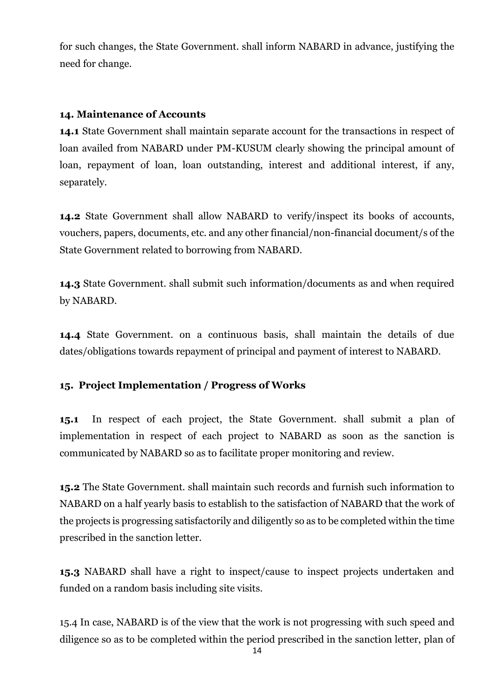for such changes, the State Government. shall inform NABARD in advance, justifying the need for change.

# **14. Maintenance of Accounts**

**14.1** State Government shall maintain separate account for the transactions in respect of loan availed from NABARD under PM-KUSUM clearly showing the principal amount of loan, repayment of loan, loan outstanding, interest and additional interest, if any, separately.

**14.2** State Government shall allow NABARD to verify/inspect its books of accounts, vouchers, papers, documents, etc. and any other financial/non-financial document/s of the State Government related to borrowing from NABARD.

**14.3** State Government. shall submit such information/documents as and when required by NABARD.

**14.4** State Government. on a continuous basis, shall maintain the details of due dates/obligations towards repayment of principal and payment of interest to NABARD.

# **15. Project Implementation / Progress of Works**

**15.1** In respect of each project, the State Government. shall submit a plan of implementation in respect of each project to NABARD as soon as the sanction is communicated by NABARD so as to facilitate proper monitoring and review.

**15.2** The State Government. shall maintain such records and furnish such information to NABARD on a half yearly basis to establish to the satisfaction of NABARD that the work of the projects is progressing satisfactorily and diligently so as to be completed within the time prescribed in the sanction letter.

**15.3** NABARD shall have a right to inspect/cause to inspect projects undertaken and funded on a random basis including site visits.

15.4 In case, NABARD is of the view that the work is not progressing with such speed and diligence so as to be completed within the period prescribed in the sanction letter, plan of